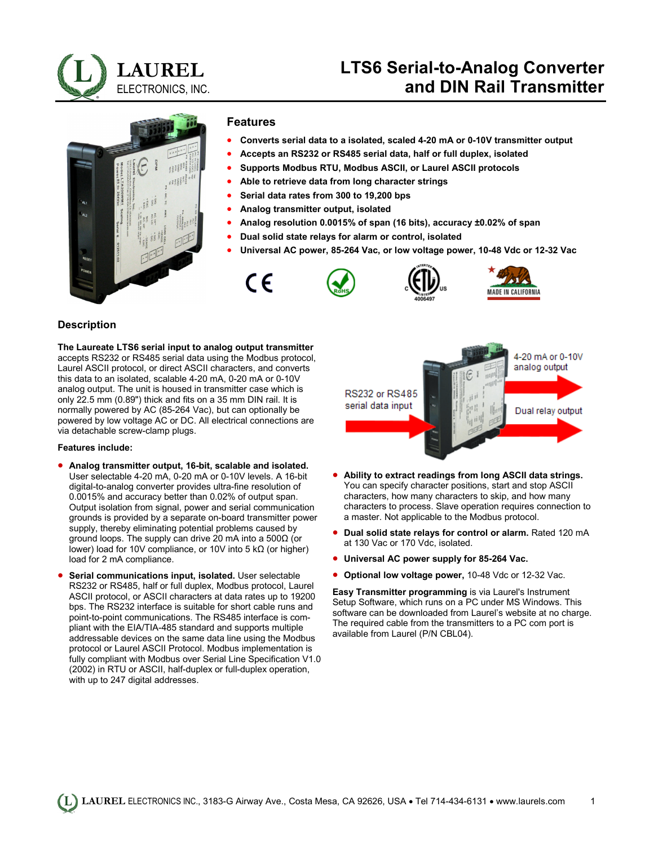

# **LTS6 Serial-to-Analog Converter and DIN Rail Transmitter**



#### **Features**

- **Converts serial data to a isolated, scaled 4-20 mA or 0-10V transmitter output**
- **Accepts an RS232 or RS485 serial data, half or full duplex, isolated**
- **Supports Modbus RTU, Modbus ASCII, or Laurel ASCII protocols**
- **Able to retrieve data from long character strings**
- **Serial data rates from 300 to 19,200 bps**
- **Analog transmitter output, isolated**
- **Analog resolution 0.0015% of span (16 bits), accuracy ±0.02% of span**
- **Dual solid state relays for alarm or control, isolated**
- **Universal AC power, 85-264 Vac, or low voltage power, 10-48 Vdc or 12-32 Vac**



#### **Description**

**The Laureate LTS6 serial input to analog output transmitter** accepts RS232 or RS485 serial data using the Modbus protocol, Laurel ASCII protocol, or direct ASCII characters, and converts this data to an isolated, scalable 4-20 mA, 0-20 mA or 0-10V analog output. The unit is housed in transmitter case which is only 22.5 mm (0.89") thick and fits on a 35 mm DIN rail. It is normally powered by AC (85-264 Vac), but can optionally be powered by low voltage AC or DC. All electrical connections are via detachable screw-clamp plugs.

#### **Features include:**

- **Analog transmitter output, 16-bit, scalable and isolated.** User selectable 4-20 mA, 0-20 mA or 0-10V levels. A 16-bit digital-to-analog converter provides ultra-fine resolution of 0.0015% and accuracy better than 0.02% of output span. Output isolation from signal, power and serial communication grounds is provided by a separate on-board transmitter power supply, thereby eliminating potential problems caused by ground loops. The supply can drive 20 mA into a 500Ω (or lower) load for 10V compliance, or 10V into 5 kΩ (or higher) load for 2 mA compliance.
- **Serial communications input, isolated.** User selectable RS232 or RS485, half or full duplex, Modbus protocol, Laurel ASCII protocol, or ASCII characters at data rates up to 19200 bps. The RS232 interface is suitable for short cable runs and point-to-point communications. The RS485 interface is compliant with the EIA/TIA-485 standard and supports multiple addressable devices on the same data line using the Modbus protocol or Laurel ASCII Protocol. Modbus implementation is fully compliant with Modbus over Serial Line Specification V1.0 (2002) in RTU or ASCII, half-duplex or full-duplex operation, with up to 247 digital addresses.



- **Ability to extract readings from long ASCII data strings.** You can specify character positions, start and stop ASCII characters, how many characters to skip, and how many characters to process. Slave operation requires connection to a master. Not applicable to the Modbus protocol.
- **Dual solid state relays for control or alarm.** Rated 120 mA at 130 Vac or 170 Vdc, isolated.
- **Universal AC power supply for 85-264 Vac.**
- **Optional low voltage power,** 10-48 Vdc or 12-32 Vac.

**Easy Transmitter programming** is via Laurel's Instrument Setup Software, which runs on a PC under MS Windows. This software can be downloaded from Laurel's website at no charge. The required cable from the transmitters to a PC com port is available from Laurel (P/N CBL04).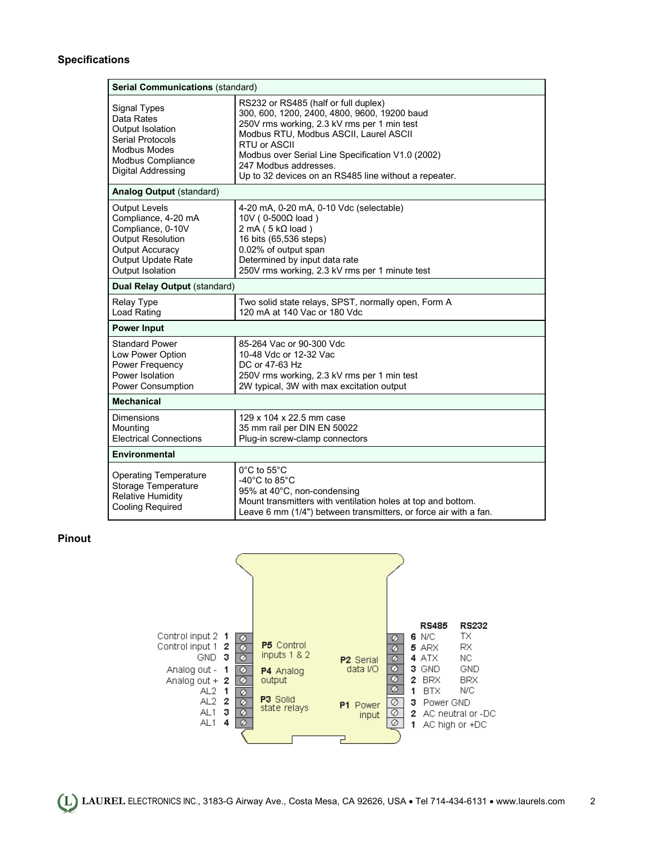#### **Specifications**

| <b>Serial Communications (standard)</b>                                                                                                                                 |                                                                                                                                                                                                                                                                                                                                      |  |
|-------------------------------------------------------------------------------------------------------------------------------------------------------------------------|--------------------------------------------------------------------------------------------------------------------------------------------------------------------------------------------------------------------------------------------------------------------------------------------------------------------------------------|--|
| Signal Types<br>Data Rates<br>Output Isolation<br><b>Serial Protocols</b><br><b>Modbus Modes</b><br>Modbus Compliance<br>Digital Addressing                             | RS232 or RS485 (half or full duplex)<br>300, 600, 1200, 2400, 4800, 9600, 19200 baud<br>250V rms working, 2.3 kV rms per 1 min test<br>Modbus RTU, Modbus ASCII, Laurel ASCII<br>RTU or ASCII<br>Modbus over Serial Line Specification V1.0 (2002)<br>247 Modbus addresses.<br>Up to 32 devices on an RS485 line without a repeater. |  |
| <b>Analog Output (standard)</b>                                                                                                                                         |                                                                                                                                                                                                                                                                                                                                      |  |
| <b>Output Levels</b><br>Compliance, 4-20 mA<br>Compliance, 0-10V<br><b>Output Resolution</b><br><b>Output Accuracy</b><br><b>Output Update Rate</b><br>Output Isolation | 4-20 mA, 0-20 mA, 0-10 Vdc (selectable)<br>10V (0-500Ω load)<br>$2 \text{ mA}$ (5 k $\Omega$ load)<br>16 bits (65,536 steps)<br>0.02% of output span<br>Determined by input data rate<br>250V rms working, 2.3 kV rms per 1 minute test                                                                                              |  |
| Dual Relay Output (standard)                                                                                                                                            |                                                                                                                                                                                                                                                                                                                                      |  |
| <b>Relay Type</b><br>Load Rating                                                                                                                                        | Two solid state relays, SPST, normally open, Form A<br>120 mA at 140 Vac or 180 Vdc                                                                                                                                                                                                                                                  |  |
| <b>Power Input</b>                                                                                                                                                      |                                                                                                                                                                                                                                                                                                                                      |  |
| <b>Standard Power</b><br>Low Power Option<br>Power Frequency<br>Power Isolation<br><b>Power Consumption</b>                                                             | 85-264 Vac or 90-300 Vdc<br>10-48 Vdc or 12-32 Vac<br>DC or 47-63 Hz<br>250V rms working, 2.3 kV rms per 1 min test<br>2W typical, 3W with max excitation output                                                                                                                                                                     |  |
| <b>Mechanical</b>                                                                                                                                                       |                                                                                                                                                                                                                                                                                                                                      |  |
| <b>Dimensions</b><br>Mounting<br><b>Electrical Connections</b>                                                                                                          | 129 x 104 x 22.5 mm case<br>35 mm rail per DIN EN 50022<br>Plug-in screw-clamp connectors                                                                                                                                                                                                                                            |  |
| Environmental                                                                                                                                                           |                                                                                                                                                                                                                                                                                                                                      |  |
| <b>Operating Temperature</b><br>Storage Temperature<br><b>Relative Humidity</b><br><b>Cooling Required</b>                                                              | 0°C to 55°C<br>-40 $^{\circ}$ C to 85 $^{\circ}$ C<br>95% at 40°C, non-condensing<br>Mount transmitters with ventilation holes at top and bottom.<br>Leave 6 mm (1/4") between transmitters, or force air with a fan.                                                                                                                |  |

#### **Pinout**